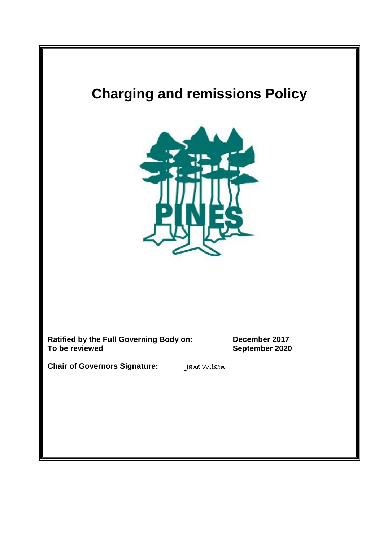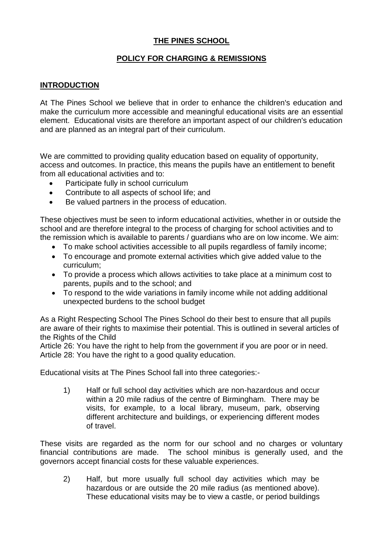# **THE PINES SCHOOL**

## **POLICY FOR CHARGING & REMISSIONS**

### **INTRODUCTION**

At The Pines School we believe that in order to enhance the children's education and make the curriculum more accessible and meaningful educational visits are an essential element. Educational visits are therefore an important aspect of our children's education and are planned as an integral part of their curriculum.

We are committed to providing quality education based on equality of opportunity, access and outcomes. In practice, this means the pupils have an entitlement to benefit from all educational activities and to:

- Participate fully in school curriculum
- Contribute to all aspects of school life; and
- Be valued partners in the process of education.

These objectives must be seen to inform educational activities, whether in or outside the school and are therefore integral to the process of charging for school activities and to the remission which is available to parents / guardians who are on low income. We aim:

- To make school activities accessible to all pupils regardless of family income;
- To encourage and promote external activities which give added value to the curriculum;
- To provide a process which allows activities to take place at a minimum cost to parents, pupils and to the school; and
- To respond to the wide variations in family income while not adding additional unexpected burdens to the school budget

As a Right Respecting School The Pines School do their best to ensure that all pupils are aware of their rights to maximise their potential. This is outlined in several articles of the Rights of the Child

Article 26: You have the right to help from the government if you are poor or in need. Article 28: You have the right to a good quality education.

Educational visits at The Pines School fall into three categories:-

1) Half or full school day activities which are non-hazardous and occur within a 20 mile radius of the centre of Birmingham. There may be visits, for example, to a local library, museum, park, observing different architecture and buildings, or experiencing different modes of travel.

These visits are regarded as the norm for our school and no charges or voluntary financial contributions are made. The school minibus is generally used, and the governors accept financial costs for these valuable experiences.

2) Half, but more usually full school day activities which may be hazardous or are outside the 20 mile radius (as mentioned above). These educational visits may be to view a castle, or period buildings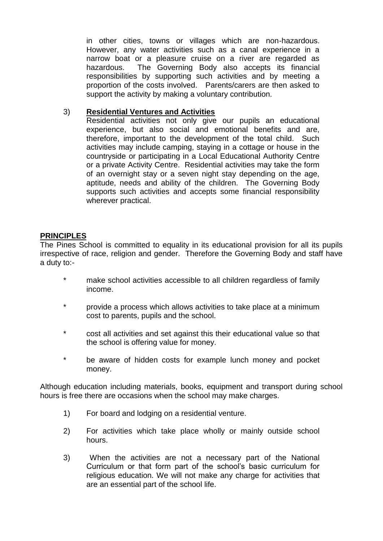in other cities, towns or villages which are non-hazardous. However, any water activities such as a canal experience in a narrow boat or a pleasure cruise on a river are regarded as hazardous. The Governing Body also accepts its financial responsibilities by supporting such activities and by meeting a proportion of the costs involved. Parents/carers are then asked to support the activity by making a voluntary contribution.

#### 3) **Residential Ventures and Activities**

Residential activities not only give our pupils an educational experience, but also social and emotional benefits and are, therefore, important to the development of the total child. Such activities may include camping, staying in a cottage or house in the countryside or participating in a Local Educational Authority Centre or a private Activity Centre. Residential activities may take the form of an overnight stay or a seven night stay depending on the age, aptitude, needs and ability of the children. The Governing Body supports such activities and accepts some financial responsibility wherever practical.

#### **PRINCIPLES**

The Pines School is committed to equality in its educational provision for all its pupils irrespective of race, religion and gender. Therefore the Governing Body and staff have a duty to:-

- \* make school activities accessible to all children regardless of family income.
- \* provide a process which allows activities to take place at a minimum cost to parents, pupils and the school.
- \* cost all activities and set against this their educational value so that the school is offering value for money.
- \* be aware of hidden costs for example lunch money and pocket money.

Although education including materials, books, equipment and transport during school hours is free there are occasions when the school may make charges.

- 1) For board and lodging on a residential venture.
- 2) For activities which take place wholly or mainly outside school hours.
- 3) When the activities are not a necessary part of the National Curriculum or that form part of the school's basic curriculum for religious education. We will not make any charge for activities that are an essential part of the school life.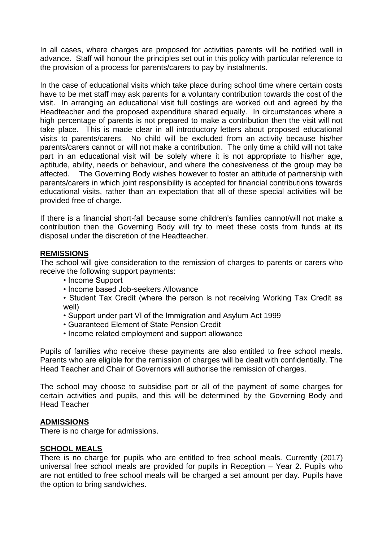In all cases, where charges are proposed for activities parents will be notified well in advance. Staff will honour the principles set out in this policy with particular reference to the provision of a process for parents/carers to pay by instalments.

In the case of educational visits which take place during school time where certain costs have to be met staff may ask parents for a voluntary contribution towards the cost of the visit. In arranging an educational visit full costings are worked out and agreed by the Headteacher and the proposed expenditure shared equally. In circumstances where a high percentage of parents is not prepared to make a contribution then the visit will not take place. This is made clear in all introductory letters about proposed educational visits to parents/carers. No child will be excluded from an activity because his/her parents/carers cannot or will not make a contribution. The only time a child will not take part in an educational visit will be solely where it is not appropriate to his/her age, aptitude, ability, needs or behaviour, and where the cohesiveness of the group may be affected. The Governing Body wishes however to foster an attitude of partnership with parents/carers in which joint responsibility is accepted for financial contributions towards educational visits, rather than an expectation that all of these special activities will be provided free of charge.

If there is a financial short-fall because some children's families cannot/will not make a contribution then the Governing Body will try to meet these costs from funds at its disposal under the discretion of the Headteacher.

## **REMISSIONS**

The school will give consideration to the remission of charges to parents or carers who receive the following support payments:

- Income Support
- Income based Job-seekers Allowance
- Student Tax Credit (where the person is not receiving Working Tax Credit as well)
- Support under part VI of the Immigration and Asylum Act 1999
- Guaranteed Element of State Pension Credit
- Income related employment and support allowance

Pupils of families who receive these payments are also entitled to free school meals. Parents who are eligible for the remission of charges will be dealt with confidentially. The Head Teacher and Chair of Governors will authorise the remission of charges.

The school may choose to subsidise part or all of the payment of some charges for certain activities and pupils, and this will be determined by the Governing Body and Head Teacher

#### **ADMISSIONS**

There is no charge for admissions.

#### **SCHOOL MEALS**

There is no charge for pupils who are entitled to free school meals. Currently (2017) universal free school meals are provided for pupils in Reception – Year 2. Pupils who are not entitled to free school meals will be charged a set amount per day. Pupils have the option to bring sandwiches.